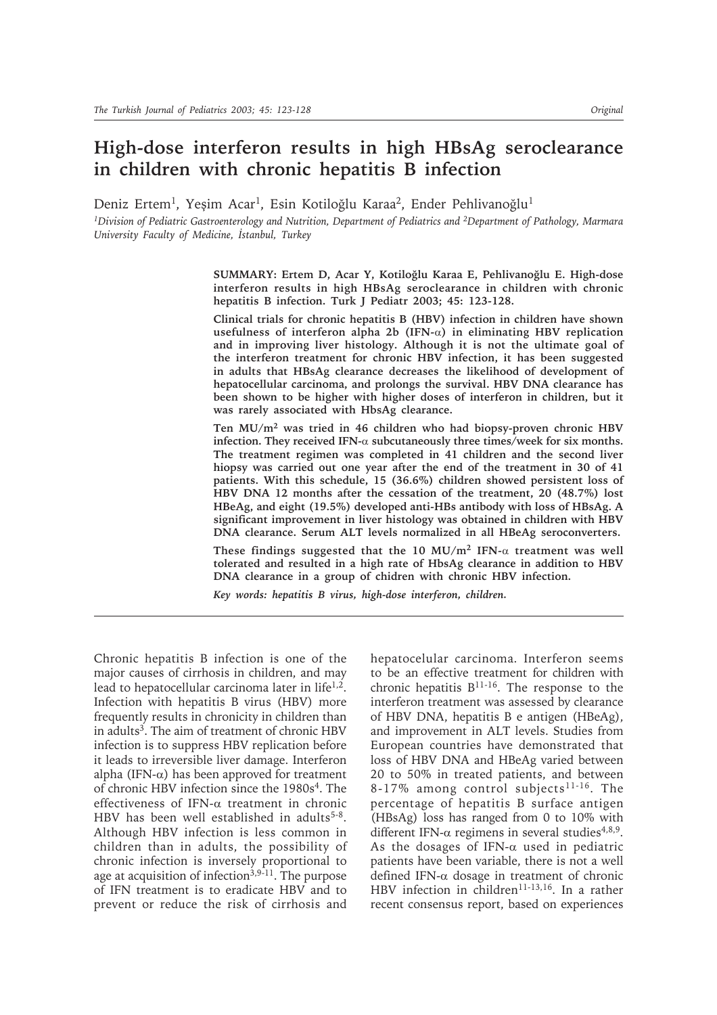## **High-dose interferon results in high HBsAg seroclearance in children with chronic hepatitis B infection**

Deniz Ertem<sup>1</sup>, Yeşim Acar<sup>1</sup>, Esin Kotiloğlu Karaa<sup>2</sup>, Ender Pehlivanoğlu<sup>1</sup>

*1Division of Pediatric Gastroenterology and Nutrition, Department of Pediatrics and 2Department of Pathology, Marmara University Faculty of Medicine, İstanbul, Turkey* 

> SUMMARY: Ertem D, Acar Y, Kotiloğlu Karaa E, Pehlivanoğlu E. High-dose **interferon results in high HBsAg seroclearance in children with chronic hepatitis B infection. Turk J Pediatr 2003; 45: 123-128.**

> **Clinical trials for chronic hepatitis B (HBV) infection in children have shown usefulness of interferon alpha 2b (IFN-**α**) in eliminating HBV replication and in improving liver histology. Although it is not the ultimate goal of the interferon treatment for chronic HBV infection, it has been suggested in adults that HBsAg clearance decreases the likelihood of development of hepatocellular carcinoma, and prolongs the survival. HBV DNA clearance has been shown to be higher with higher doses of interferon in children, but it was rarely associated with HbsAg clearance.**

> **Ten MU/m2 was tried in 46 children who had biopsy-proven chronic HBV infection. They received IFN-**α **subcutaneously three times/week for six months. The treatment regimen was completed in 41 children and the second liver hiopsy was carried out one year after the end of the treatment in 30 of 41 patients. With this schedule, 15 (36.6%) children showed persistent loss of HBV DNA 12 months after the cessation of the treatment, 20 (48.7%) lost HBeAg, and eight (19.5%) developed anti-HBs antibody with loss of HBsAg. A significant improvement in liver histology was obtained in children with HBV DNA clearance. Serum ALT levels normalized in all HBeAg seroconverters.**

> **These findings suggested that the 10 MU/m2 IFN-**α **treatment was well tolerated and resulted in a high rate of HbsAg clearance in addition to HBV DNA clearance in a group of chidren with chronic HBV infection.**

*Key words: hepatitis B virus, high-dose interferon, children.*

Chronic hepatitis B infection is one of the major causes of cirrhosis in children, and may lead to hepatocellular carcinoma later in life $1,2$ . Infection with hepatitis B virus (HBV) more frequently results in chronicity in children than in adults<sup>3</sup>. The aim of treatment of chronic HBV infection is to suppress HBV replication before it leads to irreversible liver damage. Interferon alpha (IFN- $\alpha$ ) has been approved for treatment of chronic HBV infection since the 1980s4. The effectiveness of IFN-α treatment in chronic HBV has been well established in adults<sup>5-8</sup>. Although HBV infection is less common in children than in adults, the possibility of chronic infection is inversely proportional to age at acquisition of infection $3,9-11$ . The purpose of IFN treatment is to eradicate HBV and to prevent or reduce the risk of cirrhosis and

hepatocelular carcinoma. Interferon seems to be an effective treatment for children with chronic hepatitis  $B^{11-16}$ . The response to the interferon treatment was assessed by clearance of HBV DNA, hepatitis B e antigen (HBeAg), and improvement in ALT levels. Studies from European countries have demonstrated that loss of HBV DNA and HBeAg varied between 20 to 50% in treated patients, and between 8-17% among control subjects<sup>11-16</sup>. The percentage of hepatitis B surface antigen (HBsAg) loss has ranged from 0 to 10% with different IFN- $\alpha$  regimens in several studies<sup>4,8,9</sup>. As the dosages of IFN- $\alpha$  used in pediatric patients have been variable, there is not a well defined IFN-α dosage in treatment of chronic HBV infection in children<sup>11-13,16</sup>. In a rather recent consensus report, based on experiences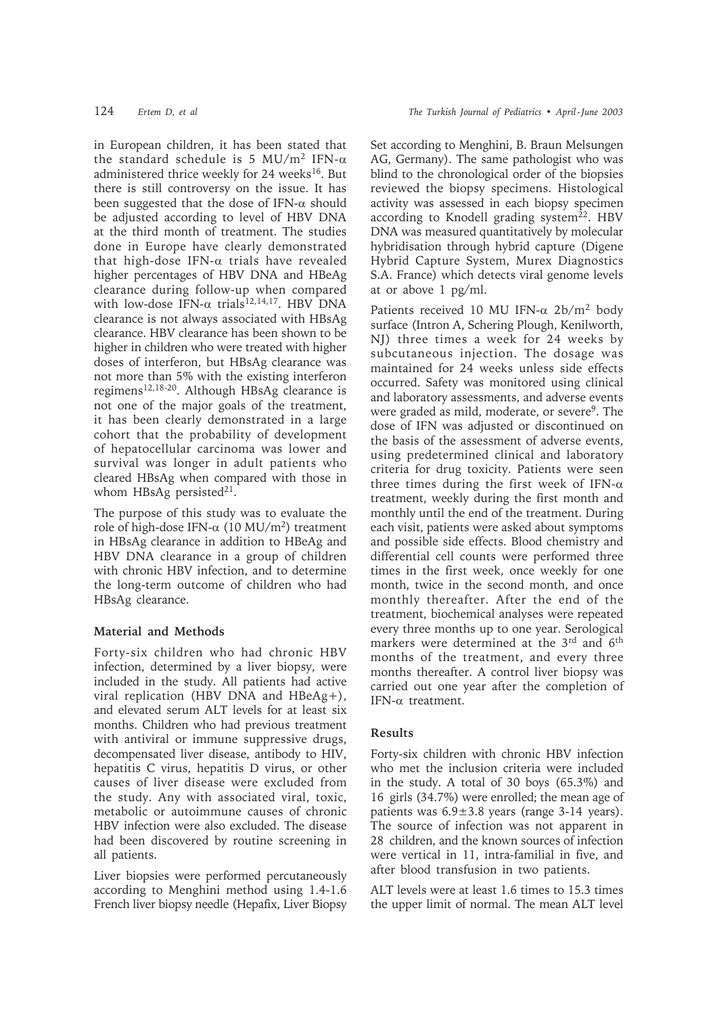in European children, it has been stated that the standard schedule is 5 MU/m<sup>2</sup> IFN- $\alpha$ administered thrice weekly for 24 weeks<sup>16</sup>. But there is still controversy on the issue. It has been suggested that the dose of IFN- $\alpha$  should be adjusted according to level of HBV DNA at the third month of treatment. The studies done in Europe have clearly demonstrated that high-dose IFN- $\alpha$  trials have revealed higher percentages of HBV DNA and HBeAg clearance during follow-up when compared with low-dose IFN- $\alpha$  trials<sup>12,14,17</sup>. HBV DNA clearance is not always associated with HBsAg clearance. HBV clearance has been shown to be higher in children who were treated with higher doses of interferon, but HBsAg clearance was not more than 5% with the existing interferon regimens12,18-20. Although HBsAg clearance is not one of the major goals of the treatment, it has been clearly demonstrated in a large cohort that the probability of development of hepatocellular carcinoma was lower and survival was longer in adult patients who cleared HBsAg when compared with those in whom HBsAg persisted<sup>21</sup>.

The purpose of this study was to evaluate the role of high-dose IFN- $\alpha$  (10 MU/m<sup>2</sup>) treatment in HBsAg clearance in addition to HBeAg and HBV DNA clearance in a group of children with chronic HBV infection, and to determine the long-term outcome of children who had HBsAg clearance.

## **Material and Methods**

Forty-six children who had chronic HBV infection, determined by a liver biopsy, were included in the study. All patients had active viral replication (HBV DNA and HBeAg+), and elevated serum ALT levels for at least six months. Children who had previous treatment with antiviral or immune suppressive drugs, decompensated liver disease, antibody to HIV, hepatitis C virus, hepatitis D virus, or other causes of liver disease were excluded from the study. Any with associated viral, toxic, metabolic or autoimmune causes of chronic HBV infection were also excluded. The disease had been discovered by routine screening in all patients.

Liver biopsies were performed percutaneously according to Menghini method using 1.4-1.6 French liver biopsy needle (Hepafix, Liver Biopsy

Set according to Menghini, B. Braun Melsungen AG, Germany). The same pathologist who was blind to the chronological order of the biopsies reviewed the biopsy specimens. Histological activity was assessed in each biopsy specimen according to Knodell grading system $22$ . HBV DNA was measured quantitatively by molecular hybridisation through hybrid capture (Digene Hybrid Capture System, Murex Diagnostics S.A. France) which detects viral genome levels at or above 1 pg/ml.

Patients received 10 MU IFN- $\alpha$  2b/m<sup>2</sup> body surface (Intron A, Schering Plough, Kenilworth, NJ) three times a week for 24 weeks by subcutaneous injection. The dosage was maintained for 24 weeks unless side effects occurred. Safety was monitored using clinical and laboratory assessments, and adverse events were graded as mild, moderate, or severe<sup>9</sup>. The dose of IFN was adjusted or discontinued on the basis of the assessment of adverse events, using predetermined clinical and laboratory criteria for drug toxicity. Patients were seen three times during the first week of IFN- $\alpha$ treatment, weekly during the first month and monthly until the end of the treatment. During each visit, patients were asked about symptoms and possible side effects. Blood chemistry and differential cell counts were performed three times in the first week, once weekly for one month, twice in the second month, and once monthly thereafter. After the end of the treatment, biochemical analyses were repeated every three months up to one year. Serological markers were determined at the 3<sup>rd</sup> and 6<sup>th</sup> months of the treatment, and every three months thereafter. A control liver biopsy was carried out one year after the completion of IFN-α treatment.

## **Results**

Forty-six children with chronic HBV infection who met the inclusion criteria were included in the study. A total of 30 boys (65.3%) and 16 girls (34.7%) were enrolled; the mean age of patients was 6.9±3.8 years (range 3-14 years). The source of infection was not apparent in 28 children, and the known sources of infection were vertical in 11, intra-familial in five, and after blood transfusion in two patients.

ALT levels were at least 1.6 times to 15.3 times the upper limit of normal. The mean ALT level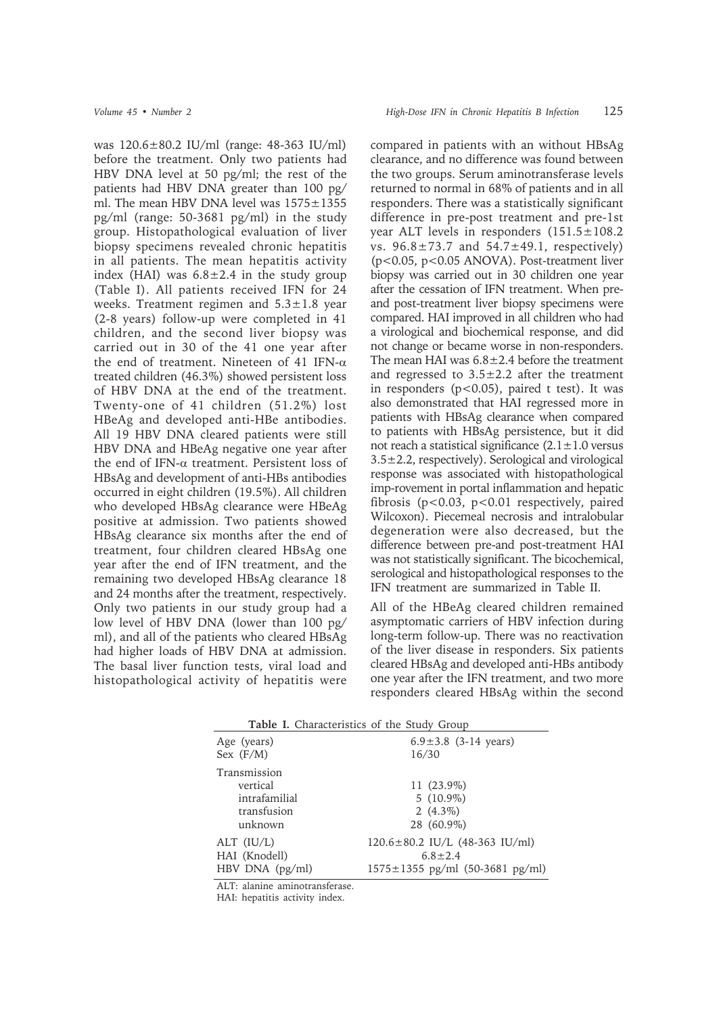was 120.6±80.2 IU/ml (range: 48-363 IU/ml) before the treatment. Only two patients had HBV DNA level at 50 pg/ml; the rest of the patients had HBV DNA greater than 100 pg/ ml. The mean HBV DNA level was 1575±1355 pg/ml (range: 50-3681 pg/ml) in the study group. Histopathological evaluation of liver biopsy specimens revealed chronic hepatitis in all patients. The mean hepatitis activity index (HAI) was  $6.8 \pm 2.4$  in the study group (Table I). All patients received IFN for 24 weeks. Treatment regimen and  $5.3 \pm 1.8$  year (2-8 years) follow-up were completed in 41 children, and the second liver biopsy was carried out in 30 of the 41 one year after the end of treatment. Nineteen of 41 IFN-α treated children (46.3%) showed persistent loss of HBV DNA at the end of the treatment. Twenty-one of 41 children (51.2%) lost HBeAg and developed anti-HBe antibodies. All 19 HBV DNA cleared patients were still HBV DNA and HBeAg negative one year after the end of IFN-α treatment. Persistent loss of HBsAg and development of anti-HBs antibodies occurred in eight children (19.5%). All children who developed HBsAg clearance were HBeAg positive at admission. Two patients showed HBsAg clearance six months after the end of treatment, four children cleared HBsAg one year after the end of IFN treatment, and the remaining two developed HBsAg clearance 18 and 24 months after the treatment, respectively. Only two patients in our study group had a low level of HBV DNA (lower than 100 pg/ ml), and all of the patients who cleared HBsAg had higher loads of HBV DNA at admission. The basal liver function tests, viral load and histopathological activity of hepatitis were

compared in patients with an without HBsAg clearance, and no difference was found between the two groups. Serum aminotransferase levels returned to normal in 68% of patients and in all responders. There was a statistically significant difference in pre-post treatment and pre-1st year ALT levels in responders  $(151.5 \pm 108.2$ vs.  $96.8 \pm 73.7$  and  $54.7 \pm 49.1$ , respectively) (p<0.05, p<0.05 ANOVA). Post-treatment liver biopsy was carried out in 30 children one year after the cessation of IFN treatment. When preand post-treatment liver biopsy specimens were compared. HAI improved in all children who had a virological and biochemical response, and did not change or became worse in non-responders. The mean HAI was  $6.8 \pm 2.4$  before the treatment and regressed to  $3.5 \pm 2.2$  after the treatment in responders  $(p<0.05)$ , paired t test). It was also demonstrated that HAI regressed more in patients with HBsAg clearance when compared to patients with HBsAg persistence, but it did not reach a statistical significance  $(2.1 \pm 1.0 \text{ versus}$  $3.5\pm2.2$ , respectively). Serological and virological response was associated with histopathological imp-rovement in portal inflammation and hepatic fibrosis (p<0.03, p<0.01 respectively, paired Wilcoxon). Piecemeal necrosis and intralobular degeneration were also decreased, but the difference between pre-and post-treatment HAI was not statistically significant. The bicochemical, serological and histopathological responses to the IFN treatment are summarized in Table II.

All of the HBeAg cleared children remained asymptomatic carriers of HBV infection during long-term follow-up. There was no reactivation of the liver disease in responders. Six patients cleared HBsAg and developed anti-HBs antibody one year after the IFN treatment, and two more responders cleared HBsAg within the second

**Table I.** Characteristics of the Study Group Age (years)  $6.9 \pm 3.8$  (3-14 years) Sex (F/M) 16/30 Transmission vertical 11 (23.9%) intrafamilial 5 (10.9%) transfusion  $2(4.3\%)$  unknown 28 (60.9%) ALT (IU/L) 120.6±80.2 IU/L (48-363 IU/ml) HAI (Knodell)  $6.8 \pm 2.4$ HBV DNA (pg/ml) 1575±1355 pg/ml (50-3681 pg/ml)

ALT: alanine aminotransferase.

HAI: hepatitis activity index.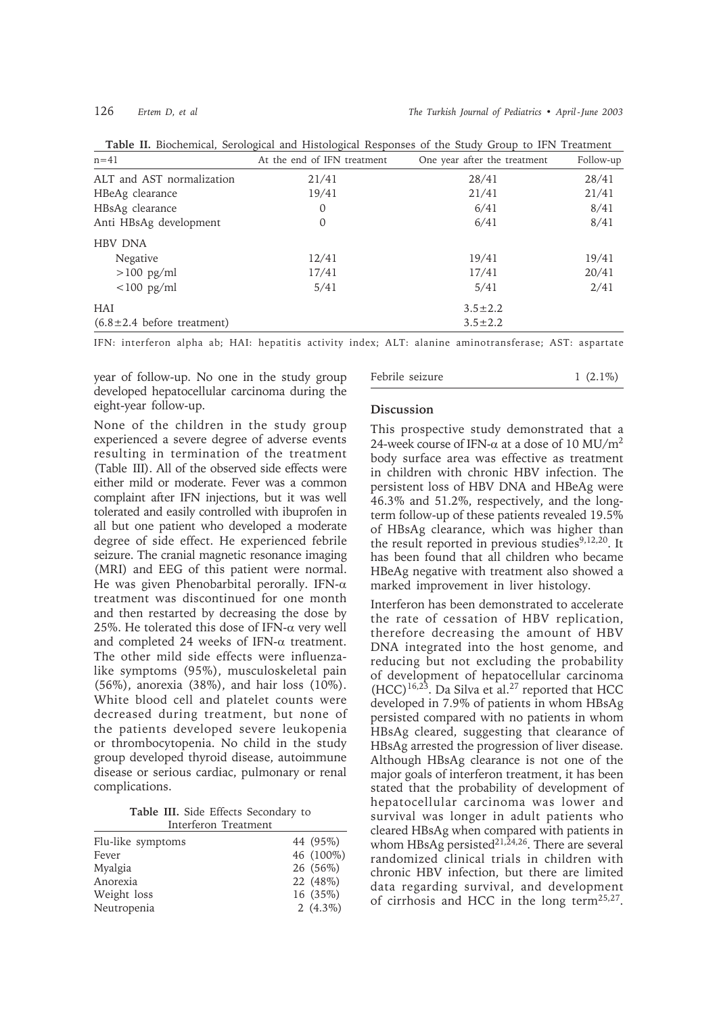126 *Ertem D, et al The Turkish Journal of Pediatrics • April - June 2003*

| $n=41$                            | At the end of IFN treatment | One year after the treatment | Follow-up |
|-----------------------------------|-----------------------------|------------------------------|-----------|
| ALT and AST normalization         | 21/41                       | 28/41                        | 28/41     |
| HBeAg clearance                   | 19/41                       | 21/41                        | 21/41     |
| HBsAg clearance                   | $\mathbf{0}$                | 6/41                         | 8/41      |
| Anti HBsAg development            | 0                           | 6/41                         | 8/41      |
| <b>HBV DNA</b>                    |                             |                              |           |
| Negative                          | 12/41                       | 19/41                        | 19/41     |
| $>100$ pg/ml                      | 17/41                       | 17/41                        | 20/41     |
| $<$ 100 pg/ml                     | 5/41                        | 5/41                         | 2/41      |
| <b>HAI</b>                        |                             | $3.5 \pm 2.2$                |           |
| $(6.8 \pm 2.4)$ before treatment) |                             | $3.5 \pm 2.2$                |           |

**Table II.** Biochemical, Serological and Histological Responses of the Study Group to IFN Treatment

IFN: interferon alpha ab; HAI: hepatitis activity index; ALT: alanine aminotransferase; AST: aspartate

year of follow-up. No one in the study group developed hepatocellular carcinoma during the eight-year follow-up.

None of the children in the study group experienced a severe degree of adverse events resulting in termination of the treatment (Table III). All of the observed side effects were either mild or moderate. Fever was a common complaint after IFN injections, but it was well tolerated and easily controlled with ibuprofen in all but one patient who developed a moderate degree of side effect. He experienced febrile seizure. The cranial magnetic resonance imaging (MRI) and EEG of this patient were normal. He was given Phenobarbital perorally. IFN- $\alpha$ treatment was discontinued for one month and then restarted by decreasing the dose by 25%. He tolerated this dose of IFN- $\alpha$  very well and completed 24 weeks of IFN- $\alpha$  treatment. The other mild side effects were influenzalike symptoms (95%), musculoskeletal pain (56%), anorexia (38%), and hair loss (10%). White blood cell and platelet counts were decreased during treatment, but none of the patients developed severe leukopenia or thrombocytopenia. No child in the study group developed thyroid disease, autoimmune disease or serious cardiac, pulmonary or renal complications.

**Table III.** Side Effects Secondary to Interferon Treatment

| IIItelieful Tiegunent |             |
|-----------------------|-------------|
| Flu-like symptoms     | 44 (95%)    |
| Fever                 | 46 (100%)   |
| Myalgia               | 26 (56%)    |
| Anorexia              | 22 (48%)    |
| Weight loss           | 16 (35%)    |
| Neutropenia           | 2 $(4.3\%)$ |

# Febrile seizure 1 (2.1%)

## **Discussion**

This prospective study demonstrated that a 24-week course of IFN- $\alpha$  at a dose of 10 MU/m<sup>2</sup> body surface area was effective as treatment in children with chronic HBV infection. The persistent loss of HBV DNA and HBeAg were 46.3% and 51.2%, respectively, and the longterm follow-up of these patients revealed 19.5% of HBsAg clearance, which was higher than the result reported in previous studies<sup>9,12,20</sup>. It has been found that all children who became HBeAg negative with treatment also showed a marked improvement in liver histology.

Interferon has been demonstrated to accelerate the rate of cessation of HBV replication, therefore decreasing the amount of HBV DNA integrated into the host genome, and reducing but not excluding the probability of development of hepatocellular carcinoma  $(HCC)^{16,23}$ . Da Silva et al.<sup>27</sup> reported that HCC developed in 7.9% of patients in whom HBsAg persisted compared with no patients in whom HBsAg cleared, suggesting that clearance of HBsAg arrested the progression of liver disease. Although HBsAg clearance is not one of the major goals of interferon treatment, it has been stated that the probability of development of hepatocellular carcinoma was lower and survival was longer in adult patients who cleared HBsAg when compared with patients in whom HBsAg persisted<sup>21,24,26</sup>. There are several randomized clinical trials in children with chronic HBV infection, but there are limited data regarding survival, and development of cirrhosis and HCC in the long term25,27.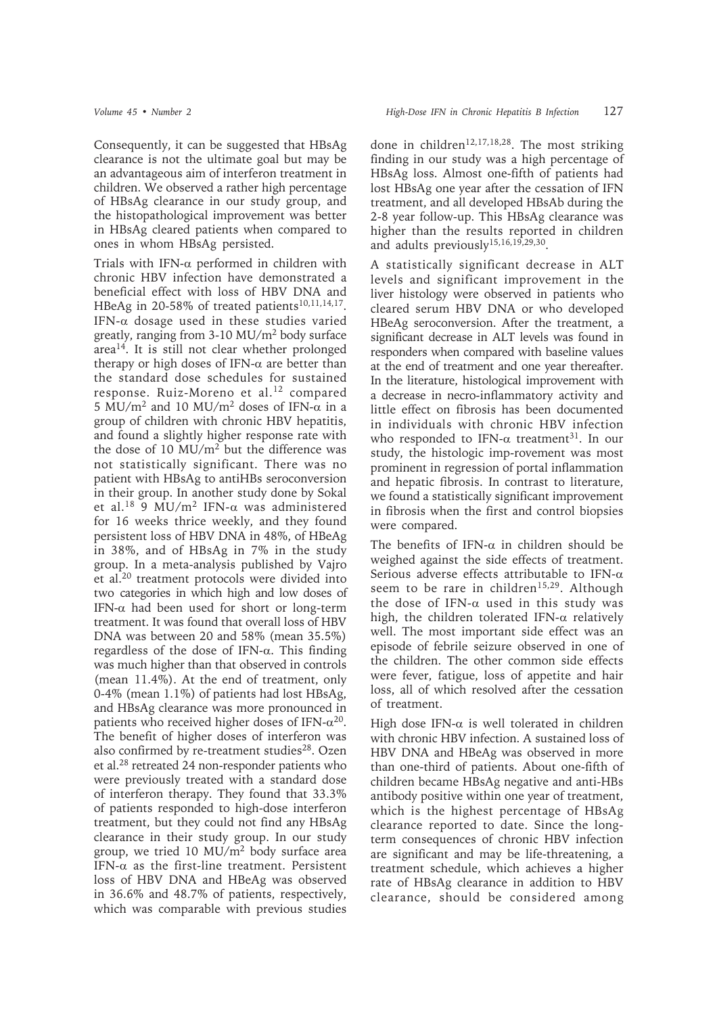Consequently, it can be suggested that HBsAg clearance is not the ultimate goal but may be an advantageous aim of interferon treatment in children. We observed a rather high percentage of HBsAg clearance in our study group, and the histopathological improvement was better in HBsAg cleared patients when compared to ones in whom HBsAg persisted.

Trials with IFN- $\alpha$  performed in children with chronic HBV infection have demonstrated a beneficial effect with loss of HBV DNA and HBeAg in 20-58% of treated patients<sup>10,11,14,17</sup>. IFN- $\alpha$  dosage used in these studies varied greatly, ranging from 3-10 MU/m2 body surface area14. It is still not clear whether prolonged therapy or high doses of IFN- $\alpha$  are better than the standard dose schedules for sustained response. Ruiz-Moreno et al.<sup>12</sup> compared 5 MU/m<sup>2</sup> and 10 MU/m<sup>2</sup> doses of IFN- $\alpha$  in a group of children with chronic HBV hepatitis, and found a slightly higher response rate with the dose of 10  $MU/m<sup>2</sup>$  but the difference was not statistically significant. There was no patient with HBsAg to antiHBs seroconversion in their group. In another study done by Sokal et al.<sup>18</sup> 9 MU/m<sup>2</sup> IFN-α was administered for 16 weeks thrice weekly, and they found persistent loss of HBV DNA in 48%, of HBeAg in 38%, and of HBsAg in 7% in the study group. In a meta-analysis published by Vajro et al.20 treatment protocols were divided into two categories in which high and low doses of IFN- $\alpha$  had been used for short or long-term treatment. It was found that overall loss of HBV DNA was between 20 and 58% (mean 35.5%) regardless of the dose of IFN-α. This finding was much higher than that observed in controls (mean 11.4%). At the end of treatment, only 0-4% (mean 1.1%) of patients had lost HBsAg, and HBsAg clearance was more pronounced in patients who received higher doses of IFN- $\alpha^{20}$ . The benefit of higher doses of interferon was also confirmed by re-treatment studies $28$ . Ozen et al.28 retreated 24 non-responder patients who were previously treated with a standard dose of interferon therapy. They found that 33.3% of patients responded to high-dose interferon treatment, but they could not find any HBsAg clearance in their study group. In our study group, we tried 10  $MU/m<sup>2</sup>$  body surface area IFN- $\alpha$  as the first-line treatment. Persistent loss of HBV DNA and HBeAg was observed in 36.6% and 48.7% of patients, respectively, which was comparable with previous studies

done in children<sup>12,17,18,28</sup>. The most striking finding in our study was a high percentage of HBsAg loss. Almost one-fifth of patients had lost HBsAg one year after the cessation of IFN treatment, and all developed HBsAb during the 2-8 year follow-up. This HBsAg clearance was higher than the results reported in children and adults previously15,16,19,29,30.

A statistically significant decrease in ALT levels and significant improvement in the liver histology were observed in patients who cleared serum HBV DNA or who developed HBeAg seroconversion. After the treatment, a significant decrease in ALT levels was found in responders when compared with baseline values at the end of treatment and one year thereafter. In the literature, histological improvement with a decrease in necro-inflammatory activity and little effect on fibrosis has been documented in individuals with chronic HBV infection who responded to IFN- $\alpha$  treatment<sup>31</sup>. In our study, the histologic imp-rovement was most prominent in regression of portal inflammation and hepatic fibrosis. In contrast to literature, we found a statistically significant improvement in fibrosis when the first and control biopsies were compared.

The benefits of IFN- $\alpha$  in children should be weighed against the side effects of treatment. Serious adverse effects attributable to IFN-α seem to be rare in children<sup>15,29</sup>. Although the dose of IFN- $\alpha$  used in this study was high, the children tolerated IFN- $\alpha$  relatively well. The most important side effect was an episode of febrile seizure observed in one of the children. The other common side effects were fever, fatigue, loss of appetite and hair loss, all of which resolved after the cessation of treatment.

High dose IFN- $\alpha$  is well tolerated in children with chronic HBV infection. A sustained loss of HBV DNA and HBeAg was observed in more than one-third of patients. About one-fifth of children became HBsAg negative and anti-HBs antibody positive within one year of treatment, which is the highest percentage of HBsAg clearance reported to date. Since the longterm consequences of chronic HBV infection are significant and may be life-threatening, a treatment schedule, which achieves a higher rate of HBsAg clearance in addition to HBV clearance, should be considered among